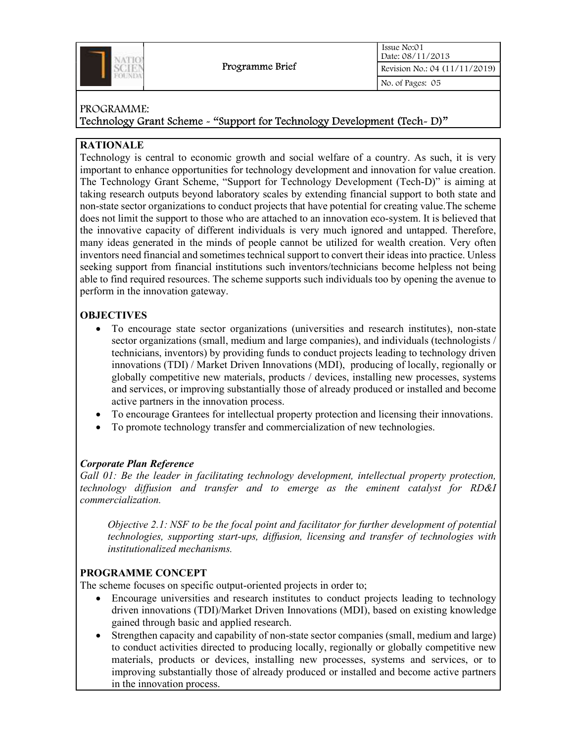

Technology Grant Scheme - "Support for Technology Development (Tech- D)"

## RATIONALE

Technology is central to economic growth and social welfare of a country. As such, it is very important to enhance opportunities for technology development and innovation for value creation. The Technology Grant Scheme, "Support for Technology Development (Tech-D)" is aiming at taking research outputs beyond laboratory scales by extending financial support to both state and non-state sector organizations to conduct projects that have potential for creating value.The scheme does not limit the support to those who are attached to an innovation eco-system. It is believed that the innovative capacity of different individuals is very much ignored and untapped. Therefore, many ideas generated in the minds of people cannot be utilized for wealth creation. Very often inventors need financial and sometimes technical support to convert their ideas into practice. Unless seeking support from financial institutions such inventors/technicians become helpless not being able to find required resources. The scheme supports such individuals too by opening the avenue to perform in the innovation gateway.

## **OBJECTIVES**

- To encourage state sector organizations (universities and research institutes), non-state sector organizations (small, medium and large companies), and individuals (technologists / technicians, inventors) by providing funds to conduct projects leading to technology driven innovations (TDI) / Market Driven Innovations (MDI), producing of locally, regionally or globally competitive new materials, products / devices, installing new processes, systems and services, or improving substantially those of already produced or installed and become active partners in the innovation process.
- To encourage Grantees for intellectual property protection and licensing their innovations.
- To promote technology transfer and commercialization of new technologies.

## Corporate Plan Reference

Gall 01: Be the leader in facilitating technology development, intellectual property protection, technology diffusion and transfer and to emerge as the eminent catalyst for RD&I commercialization.

Objective 2.1: NSF to be the focal point and facilitator for further development of potential technologies, supporting start-ups, diffusion, licensing and transfer of technologies with institutionalized mechanisms.

## PROGRAMME CONCEPT

The scheme focuses on specific output-oriented projects in order to;

- Encourage universities and research institutes to conduct projects leading to technology driven innovations (TDI)/Market Driven Innovations (MDI), based on existing knowledge gained through basic and applied research.
- Strengthen capacity and capability of non-state sector companies (small, medium and large) to conduct activities directed to producing locally, regionally or globally competitive new materials, products or devices, installing new processes, systems and services, or to improving substantially those of already produced or installed and become active partners in the innovation process.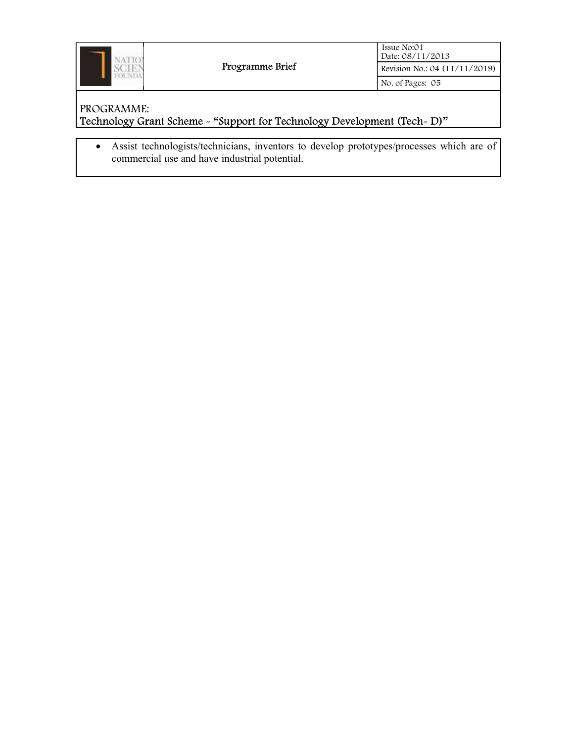

# PROGRAMME: Technology Grant Scheme - "Support for Technology Development (Tech- D)"

 Assist technologists/technicians, inventors to develop prototypes/processes which are of commercial use and have industrial potential.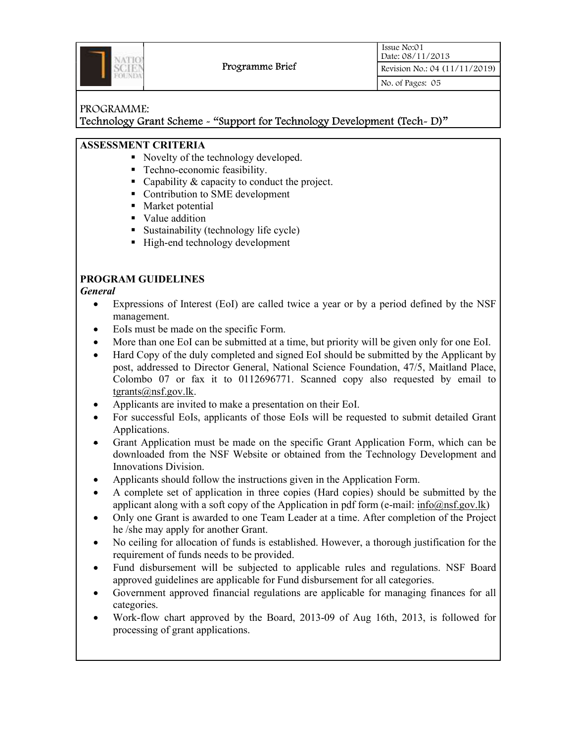

Technology Grant Scheme - "Support for Technology Development (Tech- D)"

### ASSESSMENT CRITERIA

- Novelty of the technology developed.
- Techno-economic feasibility.
- Capability & capacity to conduct the project.
- Contribution to SME development
- Market potential
- Value addition
- Sustainability (technology life cycle)
- High-end technology development

# PROGRAM GUIDELINES

### General

- Expressions of Interest (EoI) are called twice a year or by a period defined by the NSF management.
- EoIs must be made on the specific Form.
- More than one EoI can be submitted at a time, but priority will be given only for one EoI.
- Hard Copy of the duly completed and signed EoI should be submitted by the Applicant by post, addressed to Director General, National Science Foundation, 47/5, Maitland Place, Colombo 07 or fax it to 0112696771. Scanned copy also requested by email to tgrants@nsf.gov.lk.
- Applicants are invited to make a presentation on their EoI.
- For successful EoIs, applicants of those EoIs will be requested to submit detailed Grant Applications.
- Grant Application must be made on the specific Grant Application Form, which can be downloaded from the NSF Website or obtained from the Technology Development and Innovations Division.
- Applicants should follow the instructions given in the Application Form.
- A complete set of application in three copies (Hard copies) should be submitted by the applicant along with a soft copy of the Application in pdf form (e-mail:  $info@nsf.gov.lk)$
- Only one Grant is awarded to one Team Leader at a time. After completion of the Project he /she may apply for another Grant.
- No ceiling for allocation of funds is established. However, a thorough justification for the requirement of funds needs to be provided.
- Fund disbursement will be subjected to applicable rules and regulations. NSF Board approved guidelines are applicable for Fund disbursement for all categories.
- Government approved financial regulations are applicable for managing finances for all categories.
- Work-flow chart approved by the Board, 2013-09 of Aug 16th, 2013, is followed for processing of grant applications.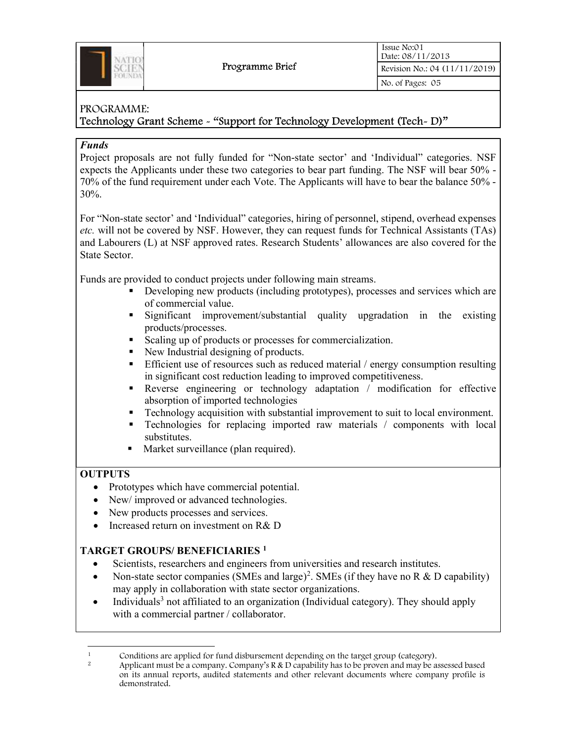

### Technology Grant Scheme - "Support for Technology Development (Tech- D)"

### Funds

Project proposals are not fully funded for "Non-state sector' and 'Individual" categories. NSF expects the Applicants under these two categories to bear part funding. The NSF will bear 50% - 70% of the fund requirement under each Vote. The Applicants will have to bear the balance 50% - 30%.

For "Non-state sector' and 'Individual" categories, hiring of personnel, stipend, overhead expenses etc. will not be covered by NSF. However, they can request funds for Technical Assistants (TAs) and Labourers (L) at NSF approved rates. Research Students' allowances are also covered for the State Sector.

Funds are provided to conduct projects under following main streams.

- Developing new products (including prototypes), processes and services which are of commercial value.
- Significant improvement/substantial quality upgradation in the existing products/processes.
- Scaling up of products or processes for commercialization.
- New Industrial designing of products.
- Efficient use of resources such as reduced material / energy consumption resulting in significant cost reduction leading to improved competitiveness.
- Reverse engineering or technology adaptation / modification for effective absorption of imported technologies
- Technology acquisition with substantial improvement to suit to local environment.
- Technologies for replacing imported raw materials / components with local substitutes.
- Market surveillance (plan required).

## **OUTPUTS**

- Prototypes which have commercial potential.
- New/improved or advanced technologies.
- New products processes and services.
- Increased return on investment on R& D

## TARGET GROUPS/ BENEFICIARIES<sup>1</sup>

- Scientists, researchers and engineers from universities and research institutes.
- Non-state sector companies (SMEs and large)<sup>2</sup>. SMEs (if they have no R & D capability) may apply in collaboration with state sector organizations.
- Individuals<sup>3</sup> not affiliated to an organization (Individual category). They should apply with a commercial partner / collaborator.

<sup>&</sup>lt;sup>1</sup> Conditions are applied for fund disbursement depending on the target group (category).

Applicant must be a company. Company's R & D capability has to be proven and may be assessed based on its annual reports, audited statements and other relevant documents where company profile is demonstrated.